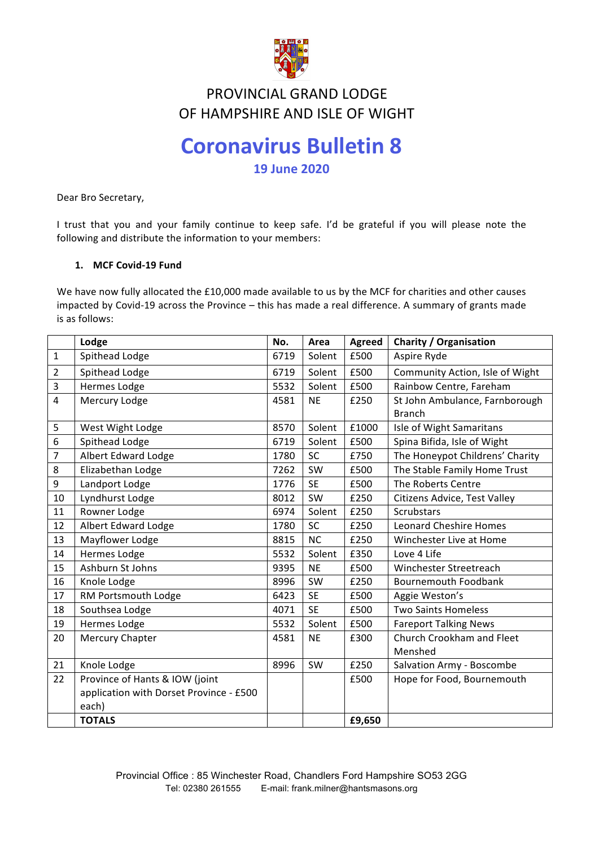

# **FIND VINCIAL GIMMD LODGL<br>OF HAMPSHIRE AND ISLE OF WIGHT** PROVINCIAL GRAND LODGE

# **Coronavirus Bulletin 8**

**19 June 2020**

Dear Bro Secretary,

I trust that you and your family continue to keep safe. I'd be grateful if you will please note the following and distribute the information to your members:

# **1. MCF Covid-19 Fund**

We have now fully allocated the £10,000 made available to us by the MCF for charities and other causes impacted by Covid-19 across the Province – this has made a real difference. A summary of grants made is as follows:

|                | Lodge                                   | No.  | Area      | <b>Agreed</b> | <b>Charity / Organisation</b>   |
|----------------|-----------------------------------------|------|-----------|---------------|---------------------------------|
| 1              | Spithead Lodge                          | 6719 | Solent    | £500          | Aspire Ryde                     |
| $\overline{2}$ | Spithead Lodge                          | 6719 | Solent    | £500          | Community Action, Isle of Wight |
| 3              | Hermes Lodge                            | 5532 | Solent    | £500          | Rainbow Centre, Fareham         |
| 4              | Mercury Lodge                           | 4581 | <b>NE</b> | £250          | St John Ambulance, Farnborough  |
|                |                                         |      |           |               | <b>Branch</b>                   |
| 5              | West Wight Lodge                        | 8570 | Solent    | £1000         | Isle of Wight Samaritans        |
| 6              | Spithead Lodge                          | 6719 | Solent    | £500          | Spina Bifida, Isle of Wight     |
| 7              | Albert Edward Lodge                     | 1780 | <b>SC</b> | £750          | The Honeypot Childrens' Charity |
| 8              | Elizabethan Lodge                       | 7262 | SW        | £500          | The Stable Family Home Trust    |
| 9              | Landport Lodge                          | 1776 | <b>SE</b> | £500          | The Roberts Centre              |
| 10             | Lyndhurst Lodge                         | 8012 | SW        | £250          | Citizens Advice, Test Valley    |
| 11             | Rowner Lodge                            | 6974 | Solent    | £250          | <b>Scrubstars</b>               |
| 12             | Albert Edward Lodge                     | 1780 | SC        | £250          | <b>Leonard Cheshire Homes</b>   |
| 13             | Mayflower Lodge                         | 8815 | <b>NC</b> | £250          | Winchester Live at Home         |
| 14             | Hermes Lodge                            | 5532 | Solent    | £350          | Love 4 Life                     |
| 15             | Ashburn St Johns                        | 9395 | <b>NE</b> | £500          | Winchester Streetreach          |
| 16             | Knole Lodge                             | 8996 | SW        | £250          | Bournemouth Foodbank            |
| 17             | RM Portsmouth Lodge                     | 6423 | <b>SE</b> | £500          | Aggie Weston's                  |
| 18             | Southsea Lodge                          | 4071 | <b>SE</b> | £500          | <b>Two Saints Homeless</b>      |
| 19             | <b>Hermes Lodge</b>                     | 5532 | Solent    | £500          | <b>Fareport Talking News</b>    |
| 20             | Mercury Chapter                         | 4581 | <b>NE</b> | £300          | Church Crookham and Fleet       |
|                |                                         |      |           |               | Menshed                         |
| 21             | Knole Lodge                             | 8996 | SW        | £250          | Salvation Army - Boscombe       |
| 22             | Province of Hants & IOW (joint          |      |           | £500          | Hope for Food, Bournemouth      |
|                | application with Dorset Province - £500 |      |           |               |                                 |
|                | each)                                   |      |           |               |                                 |
|                | <b>TOTALS</b>                           |      |           | £9,650        |                                 |